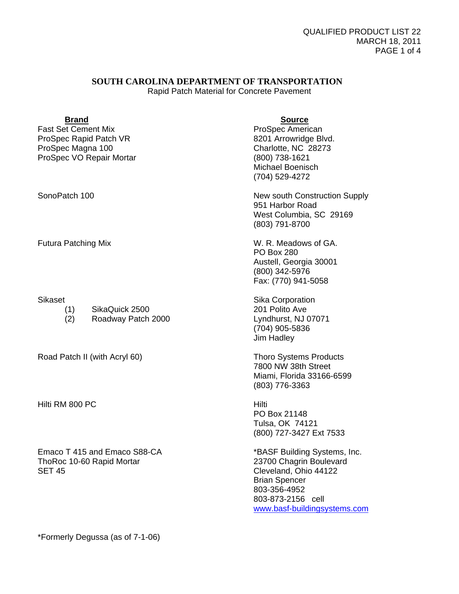# **SOUTH CAROLINA DEPARTMENT OF TRANSPORTATION**

Rapid Patch Material for Concrete Pavement

| <b>Brand</b><br><b>Fast Set Cement Mix</b><br>ProSpec Rapid Patch VR<br>ProSpec Magna 100<br>ProSpec VO Repair Mortar | <b>Source</b><br>ProSpec American<br>8201 Arrowridge Blvd.<br>Charlotte, NC 28273<br>(800) 738-1621<br><b>Michael Boenisch</b><br>(704) 529-4272                              |
|-----------------------------------------------------------------------------------------------------------------------|-------------------------------------------------------------------------------------------------------------------------------------------------------------------------------|
| SonoPatch 100                                                                                                         | New south Construction Supply<br>951 Harbor Road<br>West Columbia, SC 29169<br>(803) 791-8700                                                                                 |
| <b>Futura Patching Mix</b>                                                                                            | W. R. Meadows of GA.<br><b>PO Box 280</b><br>Austell, Georgia 30001<br>(800) 342-5976<br>Fax: (770) 941-5058                                                                  |
| <b>Sikaset</b><br>SikaQuick 2500<br>(1)<br>(2)<br>Roadway Patch 2000                                                  | <b>Sika Corporation</b><br>201 Polito Ave<br>Lyndhurst, NJ 07071<br>(704) 905-5836<br>Jim Hadley                                                                              |
| Road Patch II (with Acryl 60)                                                                                         | <b>Thoro Systems Products</b><br>7800 NW 38th Street<br>Miami, Florida 33166-6599<br>(803) 776-3363                                                                           |
| Hilti RM 800 PC                                                                                                       | Hilti<br>PO Box 21148<br>Tulsa, OK 74121<br>(800) 727-3427 Ext 7533                                                                                                           |
| Emaco T 415 and Emaco S88-CA<br>ThoRoc 10-60 Rapid Mortar<br><b>SET 45</b>                                            | *BASF Building Systems, Inc.<br>23700 Chagrin Boulevard<br>Cleveland, Ohio 44122<br><b>Brian Spencer</b><br>803-356-4952<br>803-873-2156 cell<br>www.basf-buildingsystems.com |

\*Formerly Degussa (as of 7-1-06)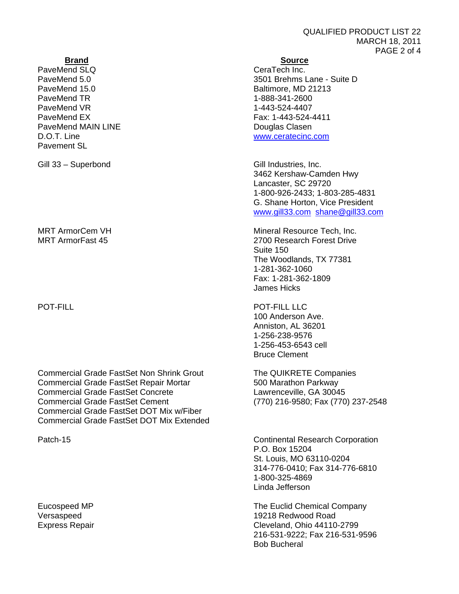# QUALIFIED PRODUCT LIST 22 MARCH 18, 2011 PAGE 2 of 4

PaveMend SLQ CeraTech Inc. PaveMend 15.0 **Baltimore, MD 21213** PaveMend TR<br>
PaveMend VR<br>
2007 1-443-524-4407 PaveMend FX Fax: 1-443-524-4411 PaveMend MAIN LINE<br>
Douglas Clasen<br>
D.O.T. Line<br>
WWW.ceratecinc. Pavement SL

Gill 33 – Superbond Gill Industries, Inc.

Commercial Grade FastSet Non Shrink Grout The QUIKRETE Companies Commercial Grade FastSet Repair Mortar 600 Marathon Parkway<br>Commercial Grade FastSet Concrete 600 Lawrenceville, GA 30045 Commercial Grade FastSet Concrete Commercial Grade FastSet Cement (770) 216-9580; Fax (770) 237-2548 Commercial Grade FastSet DOT Mix w/Fiber Commercial Grade FastSet DOT Mix Extended

## **Brand Source**

PaveMend 5.0 3501 Brehms Lane - Suite D 1-443-524-4407 www.ceratecinc.com

> 3462 Kershaw-Camden Hwy Lancaster, SC 29720 1-800-926-2433; 1-803-285-4831 G. Shane Horton, Vice President www.gill33.com shane@gill33.com

MRT ArmorCem VH Mineral Resource Tech, Inc. MRT ArmorFast 45 2700 Research Forest Drive Suite 150 The Woodlands, TX 77381 1-281-362-1060 Fax: 1-281-362-1809 James Hicks

POT-FILL **POT-FILL**  100 Anderson Ave. Anniston, AL 36201 1-256-238-9576 1-256-453-6543 cell Bruce Clement

Patch-15 **Continental Research Corporation**  P.O. Box 15204 St. Louis, MO 63110-0204 314-776-0410; Fax 314-776-6810 1-800-325-4869 Linda Jefferson

Eucospeed MP The Euclid Chemical Company Versaspeed 19218 Redwood Road Express Repair Cleveland, Ohio 44110-2799 216-531-9222; Fax 216-531-9596 Bob Bucheral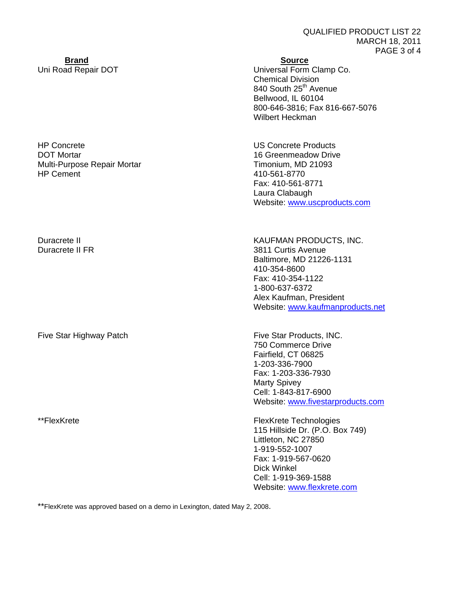# **Brand Source**

Uni Road Repair DOT Universal Form Clamp Co. Chemical Division 840 South 25<sup>th</sup> Avenue Bellwood, IL 60104 800-646-3816; Fax 816-667-5076 Wilbert Heckman

HP Concrete US Concrete Products Fax: 410-561-8771 Laura Clabaugh Website: www.uscproducts.com

Duracrete II **No. 2018** No. 2019 No. 2019 New York WAUFMAN PRODUCTS, INC. Duracrete II FR 3811 Curtis Avenue Baltimore, MD 21226-1131 410-354-8600 Fax: 410-354-1122 1-800-637-6372 Alex Kaufman, President Website: www.kaufmanproducts.net

> 750 Commerce Drive Fairfield, CT 06825 1-203-336-7900 Fax: 1-203-336-7930 Marty Spivey Cell: 1-843-817-6900 Website: www.fivestarproducts.com

\*\*FlexKrete **FlexKrete** Technologies 115 Hillside Dr. (P.O. Box 749) Littleton, NC 27850 1-919-552-1007 Fax: 1-919-567-0620 Dick Winkel Cell: 1-919-369-1588 Website: www.flexkrete.com

\*\*FlexKrete was approved based on a demo in Lexington, dated May 2, 2008.

# **DOT Mortar 16 Greenmeadow Drive** 16 Greenmeadow Drive Multi-Purpose Repair Mortar Mortar Timonium, MD 21093 HP Cement 410-561-8770

Five Star Highway Patch Five Star Products, INC.